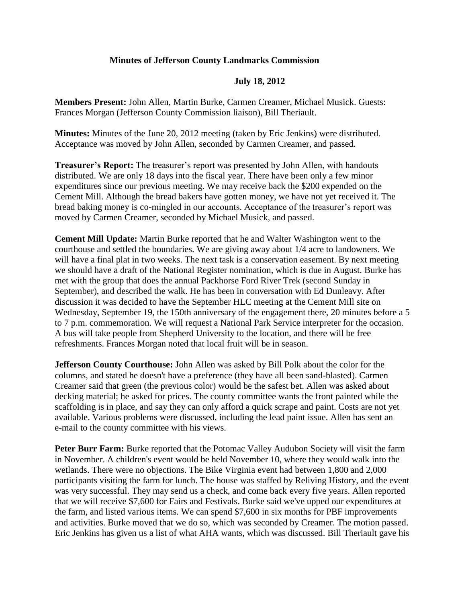## **Minutes of Jefferson County Landmarks Commission**

## **July 18, 2012**

**Members Present:** John Allen, Martin Burke, Carmen Creamer, Michael Musick. Guests: Frances Morgan (Jefferson County Commission liaison), Bill Theriault.

**Minutes:** Minutes of the June 20, 2012 meeting (taken by Eric Jenkins) were distributed. Acceptance was moved by John Allen, seconded by Carmen Creamer, and passed.

**Treasurer's Report:** The treasurer's report was presented by John Allen, with handouts distributed. We are only 18 days into the fiscal year. There have been only a few minor expenditures since our previous meeting. We may receive back the \$200 expended on the Cement Mill. Although the bread bakers have gotten money, we have not yet received it. The bread baking money is co-mingled in our accounts. Acceptance of the treasurer's report was moved by Carmen Creamer, seconded by Michael Musick, and passed.

**Cement Mill Update:** Martin Burke reported that he and Walter Washington went to the courthouse and settled the boundaries. We are giving away about 1/4 acre to landowners. We will have a final plat in two weeks. The next task is a conservation easement. By next meeting we should have a draft of the National Register nomination, which is due in August. Burke has met with the group that does the annual Packhorse Ford River Trek (second Sunday in September), and described the walk. He has been in conversation with Ed Dunleavy. After discussion it was decided to have the September HLC meeting at the Cement Mill site on Wednesday, September 19, the 150th anniversary of the engagement there, 20 minutes before a 5 to 7 p.m. commemoration. We will request a National Park Service interpreter for the occasion. A bus will take people from Shepherd University to the location, and there will be free refreshments. Frances Morgan noted that local fruit will be in season.

**Jefferson County Courthouse:** John Allen was asked by Bill Polk about the color for the columns, and stated he doesn't have a preference (they have all been sand-blasted). Carmen Creamer said that green (the previous color) would be the safest bet. Allen was asked about decking material; he asked for prices. The county committee wants the front painted while the scaffolding is in place, and say they can only afford a quick scrape and paint. Costs are not yet available. Various problems were discussed, including the lead paint issue. Allen has sent an e-mail to the county committee with his views.

Peter Burr Farm: Burke reported that the Potomac Valley Audubon Society will visit the farm in November. A children's event would be held November 10, where they would walk into the wetlands. There were no objections. The Bike Virginia event had between 1,800 and 2,000 participants visiting the farm for lunch. The house was staffed by Reliving History, and the event was very successful. They may send us a check, and come back every five years. Allen reported that we will receive \$7,600 for Fairs and Festivals. Burke said we've upped our expenditures at the farm, and listed various items. We can spend \$7,600 in six months for PBF improvements and activities. Burke moved that we do so, which was seconded by Creamer. The motion passed. Eric Jenkins has given us a list of what AHA wants, which was discussed. Bill Theriault gave his